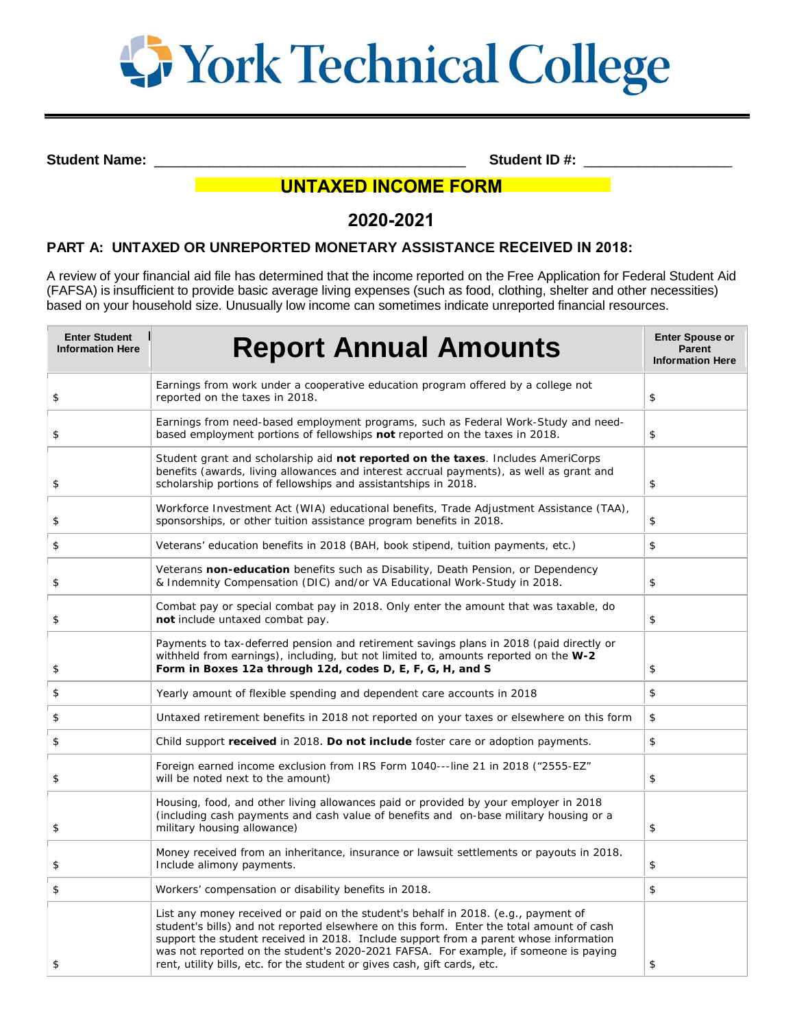

**Student Name:**  $\bullet$  **Student ID #:**  $\bullet$  **Student ID #:**  $\bullet$  **5tudent ID #:**  $\bullet$  **5tudent ID #:**  $\bullet$  **5tudent ID #:**  $\bullet$  **5tudent ID #:**  $\bullet$  **5tudent ID #:**  $\bullet$  **5tudent ID #:**  $\bullet$  **5tudent ID #:** 

# **UNTAXED INCOME FORM**

# **2020-2021**

## **PART A: UNTAXED OR UNREPORTED MONETARY ASSISTANCE RECEIVED IN 2018:**

A review of your financial aid file has determined that the income reported on the Free Application for Federal Student Aid (FAFSA) is insufficient to provide basic average living expenses (such as food, clothing, shelter and other necessities) based on your household size. Unusually low income can sometimes indicate unreported financial resources.

| <b>Enter Student</b><br><b>Information Here</b> | <b>Report Annual Amounts</b>                                                                                                                                                                                                                                                                                                                                                                                                                 | <b>Enter Spouse or</b><br><b>Parent</b><br><b>Information Here</b> |
|-------------------------------------------------|----------------------------------------------------------------------------------------------------------------------------------------------------------------------------------------------------------------------------------------------------------------------------------------------------------------------------------------------------------------------------------------------------------------------------------------------|--------------------------------------------------------------------|
| \$                                              | Earnings from work under a cooperative education program offered by a college not<br>reported on the taxes in 2018.                                                                                                                                                                                                                                                                                                                          | \$                                                                 |
| \$                                              | Earnings from need-based employment programs, such as Federal Work-Study and need-<br>based employment portions of fellowships not reported on the taxes in 2018.                                                                                                                                                                                                                                                                            | \$                                                                 |
| \$                                              | Student grant and scholarship aid not reported on the taxes. Includes AmeriCorps<br>benefits (awards, living allowances and interest accrual payments), as well as grant and<br>scholarship portions of fellowships and assistantships in 2018.                                                                                                                                                                                              | \$                                                                 |
| \$                                              | Workforce Investment Act (WIA) educational benefits, Trade Adjustment Assistance (TAA),<br>sponsorships, or other tuition assistance program benefits in 2018.                                                                                                                                                                                                                                                                               | \$                                                                 |
| \$                                              | Veterans' education benefits in 2018 (BAH, book stipend, tuition payments, etc.)                                                                                                                                                                                                                                                                                                                                                             | \$                                                                 |
| \$                                              | Veterans non-education benefits such as Disability, Death Pension, or Dependency<br>& Indemnity Compensation (DIC) and/or VA Educational Work-Study in 2018.                                                                                                                                                                                                                                                                                 | \$                                                                 |
| \$                                              | Combat pay or special combat pay in 2018. Only enter the amount that was taxable, do<br>not include untaxed combat pay.                                                                                                                                                                                                                                                                                                                      | \$                                                                 |
| \$                                              | Payments to tax-deferred pension and retirement savings plans in 2018 (paid directly or<br>withheld from earnings), including, but not limited to, amounts reported on the W-2<br>Form in Boxes 12a through 12d, codes D, E, F, G, H, and S                                                                                                                                                                                                  | \$                                                                 |
| \$                                              | Yearly amount of flexible spending and dependent care accounts in 2018                                                                                                                                                                                                                                                                                                                                                                       | \$                                                                 |
| \$                                              | Untaxed retirement benefits in 2018 not reported on your taxes or elsewhere on this form                                                                                                                                                                                                                                                                                                                                                     | \$                                                                 |
| \$                                              | Child support received in 2018. Do not include foster care or adoption payments.                                                                                                                                                                                                                                                                                                                                                             | \$                                                                 |
| \$                                              | Foreign earned income exclusion from IRS Form 1040---line 21 in 2018 ("2555-EZ"<br>will be noted next to the amount)                                                                                                                                                                                                                                                                                                                         | \$                                                                 |
| \$                                              | Housing, food, and other living allowances paid or provided by your employer in 2018<br>(including cash payments and cash value of benefits and on-base military housing or a<br>military housing allowance)                                                                                                                                                                                                                                 | \$                                                                 |
| \$                                              | Money received from an inheritance, insurance or lawsuit settlements or payouts in 2018.<br>Include alimony payments.                                                                                                                                                                                                                                                                                                                        | \$                                                                 |
| \$                                              | Workers' compensation or disability benefits in 2018.                                                                                                                                                                                                                                                                                                                                                                                        | \$                                                                 |
| \$                                              | List any money received or paid on the student's behalf in 2018. (e.g., payment of<br>student's bills) and not reported elsewhere on this form. Enter the total amount of cash<br>support the student received in 2018. Include support from a parent whose information<br>was not reported on the student's 2020-2021 FAFSA. For example, if someone is paying<br>rent, utility bills, etc. for the student or gives cash, gift cards, etc. | \$                                                                 |